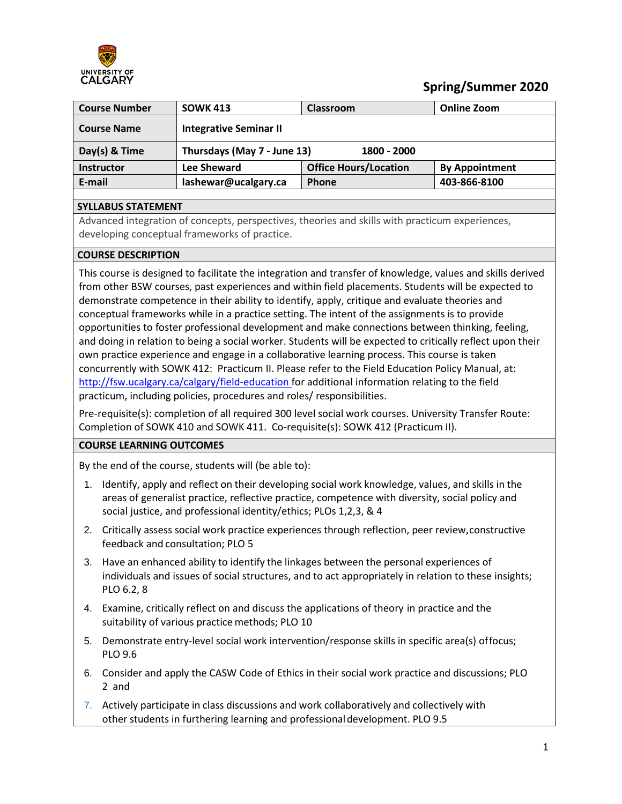

# **Spring/Summer 2020**

| <b>Course Number</b> | <b>SOWK 413</b>               | <b>Classroom</b>             | Online Zoom           |
|----------------------|-------------------------------|------------------------------|-----------------------|
| <b>Course Name</b>   | <b>Integrative Seminar II</b> |                              |                       |
| Day(s) $&$ Time      | Thursdays (May 7 - June 13)   | 1800 - 2000                  |                       |
| <b>Instructor</b>    | Lee Sheward                   | <b>Office Hours/Location</b> | <b>By Appointment</b> |
| E-mail               | lashewar@ucalgary.ca          | <b>Phone</b>                 | 403-866-8100          |

### **SYLLABUS STATEMENT**

Advanced integration of concepts, perspectives, theories and skills with practicum experiences, developing conceptual frameworks of practice.

#### **COURSE DESCRIPTION**

This course is designed to facilitate the integration and transfer of knowledge, values and skills derived from other BSW courses, past experiences and within field placements. Students will be expected to demonstrate competence in their ability to identify, apply, critique and evaluate theories and conceptual frameworks while in a practice setting. The intent of the assignments is to provide opportunities to foster professional development and make connections between thinking, feeling, and doing in relation to being a social worker. Students will be expected to critically reflect upon their own practice experience and engage in a collaborative learning process. This course is taken concurrently with SOWK 412: Practicum II. Please refer to the Field Education Policy Manual, at: [http://fsw.ucalgary.ca/calgary/field-education f](http://fsw.ucalgary.ca/calgary/field-education)or additional information relating to the field practicum, including policies, procedures and roles/ responsibilities.

Pre-requisite(s): completion of all required 300 level social work courses. University Transfer Route: Completion of SOWK 410 and SOWK 411. Co-requisite(s): SOWK 412 (Practicum II).

#### **COURSE LEARNING OUTCOMES**

By the end of the course, students will (be able to):

- 1. Identify, apply and reflect on their developing social work knowledge, values, and skills in the areas of generalist practice, reflective practice, competence with diversity, social policy and social justice, and professional identity/ethics; PLOs 1,2,3, & 4
- 2. Critically assess social work practice experiences through reflection, peer review,constructive feedback and consultation; PLO 5
- 3. Have an enhanced ability to identify the linkages between the personal experiences of individuals and issues of social structures, and to act appropriately in relation to these insights; PLO 6.2, 8
- 4. Examine, critically reflect on and discuss the applications of theory in practice and the suitability of various practice methods; PLO 10
- 5. Demonstrate entry-level social work intervention/response skills in specific area(s) offocus; PLO 9.6
- 6. Consider and apply the CASW Code of Ethics in their social work practice and discussions; PLO 2 and
- 7. Actively participate in class discussions and work collaboratively and collectively with other students in furthering learning and professionaldevelopment. PLO 9.5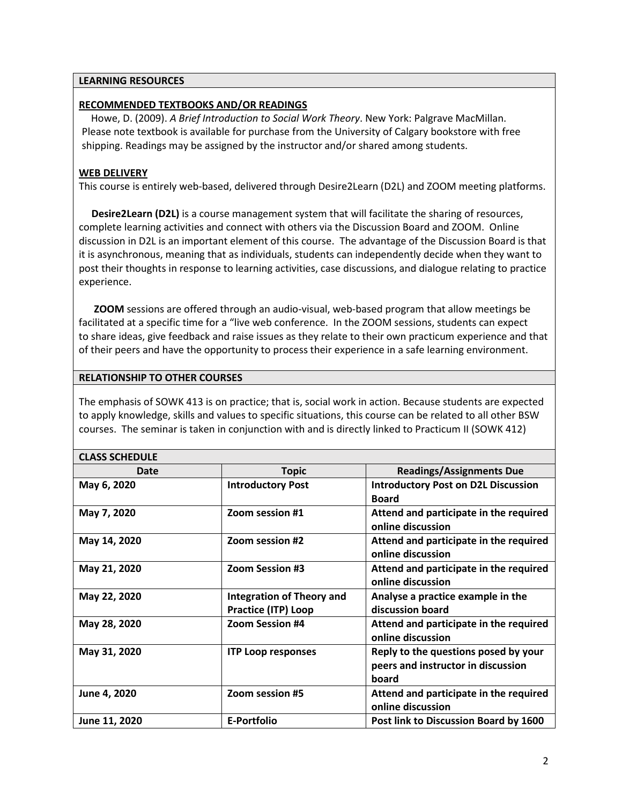#### **LEARNING RESOURCES**

### **RECOMMENDED TEXTBOOKS AND/OR READINGS**

Howe, D. (2009). *A Brief Introduction to Social Work Theory*. New York: Palgrave MacMillan. Please note textbook is available for purchase from the University of Calgary bookstore with free shipping. Readings may be assigned by the instructor and/or shared among students.

### **WEB DELIVERY**

This course is entirely web-based, delivered through Desire2Learn (D2L) and ZOOM meeting platforms.

 **Desire2Learn (D2L)** is a course management system that will facilitate the sharing of resources, complete learning activities and connect with others via the Discussion Board and ZOOM. Online discussion in D2L is an important element of this course. The advantage of the Discussion Board is that it is asynchronous, meaning that as individuals, students can independently decide when they want to post their thoughts in response to learning activities, case discussions, and dialogue relating to practice experience.

 **ZOOM** sessions are offered through an audio-visual, web-based program that allow meetings be facilitated at a specific time for a "live web conference. In the ZOOM sessions, students can expect to share ideas, give feedback and raise issues as they relate to their own practicum experience and that of their peers and have the opportunity to process their experience in a safe learning environment.

#### **RELATIONSHIP TO OTHER COURSES**

The emphasis of SOWK 413 is on practice; that is, social work in action. Because students are expected to apply knowledge, skills and values to specific situations, this course can be related to all other BSW courses. The seminar is taken in conjunction with and is directly linked to Practicum II (SOWK 412)

#### **CLASS SCHEDULE**

| Date          | <b>Topic</b>                                                   | <b>Readings/Assignments Due</b>                                                     |
|---------------|----------------------------------------------------------------|-------------------------------------------------------------------------------------|
| May 6, 2020   | <b>Introductory Post</b>                                       | <b>Introductory Post on D2L Discussion</b><br><b>Board</b>                          |
| May 7, 2020   | Zoom session #1                                                | Attend and participate in the required<br>online discussion                         |
| May 14, 2020  | Zoom session #2                                                | Attend and participate in the required<br>online discussion                         |
| May 21, 2020  | <b>Zoom Session #3</b>                                         | Attend and participate in the required<br>online discussion                         |
| May 22, 2020  | <b>Integration of Theory and</b><br><b>Practice (ITP) Loop</b> | Analyse a practice example in the<br>discussion board                               |
| May 28, 2020  | <b>Zoom Session #4</b>                                         | Attend and participate in the required<br>online discussion                         |
| May 31, 2020  | <b>ITP Loop responses</b>                                      | Reply to the questions posed by your<br>peers and instructor in discussion<br>board |
| June 4, 2020  | Zoom session #5                                                | Attend and participate in the required<br>online discussion                         |
| June 11, 2020 | E-Portfolio                                                    | Post link to Discussion Board by 1600                                               |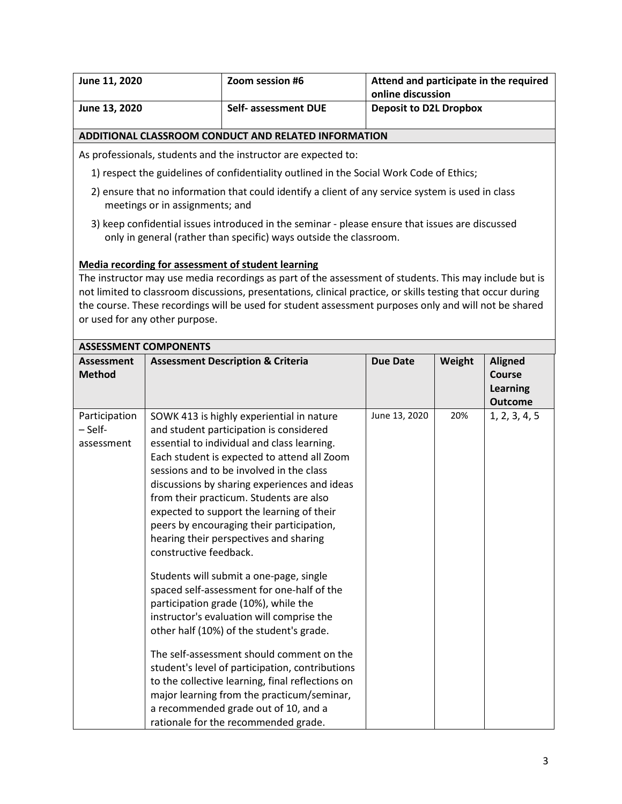| June 11, 2020                                        | Zoom session #6      | Attend and participate in the required<br>online discussion |
|------------------------------------------------------|----------------------|-------------------------------------------------------------|
| June 13, 2020                                        | Self- assessment DUE | <b>Deposit to D2L Dropbox</b>                               |
| ADDITIONAL CLASSROOM CONDUCT AND RELATED INFORMATION |                      |                                                             |

As professionals, students and the instructor are expected to:

- 1) respect the guidelines of confidentiality outlined in the Social Work Code of Ethics;
- 2) ensure that no information that could identify a client of any service system is used in class meetings or in assignments; and
- 3) keep confidential issues introduced in the seminar please ensure that issues are discussed only in general (rather than specific) ways outside the classroom.

#### **Media recording for assessment of student learning**

The instructor may use media recordings as part of the assessment of students. This may include but is not limited to classroom discussions, presentations, clinical practice, or skills testing that occur during the course. These recordings will be used for student assessment purposes only and will not be shared or used for any other purpose.

|                                        | <b>ASSESSMENT COMPONENTS</b>                                                                                                                                                                                                                                                                                                                                                                                                                                                                                                                                                                                                                                                                                                                                                                                                                                                                                                                                                                        |                 |        |                                                               |
|----------------------------------------|-----------------------------------------------------------------------------------------------------------------------------------------------------------------------------------------------------------------------------------------------------------------------------------------------------------------------------------------------------------------------------------------------------------------------------------------------------------------------------------------------------------------------------------------------------------------------------------------------------------------------------------------------------------------------------------------------------------------------------------------------------------------------------------------------------------------------------------------------------------------------------------------------------------------------------------------------------------------------------------------------------|-----------------|--------|---------------------------------------------------------------|
| <b>Assessment</b><br><b>Method</b>     | <b>Assessment Description &amp; Criteria</b>                                                                                                                                                                                                                                                                                                                                                                                                                                                                                                                                                                                                                                                                                                                                                                                                                                                                                                                                                        | <b>Due Date</b> | Weight | <b>Aligned</b><br>Course<br><b>Learning</b><br><b>Outcome</b> |
| Participation<br>– Self-<br>assessment | SOWK 413 is highly experiential in nature<br>and student participation is considered<br>essential to individual and class learning.<br>Each student is expected to attend all Zoom<br>sessions and to be involved in the class<br>discussions by sharing experiences and ideas<br>from their practicum. Students are also<br>expected to support the learning of their<br>peers by encouraging their participation,<br>hearing their perspectives and sharing<br>constructive feedback.<br>Students will submit a one-page, single<br>spaced self-assessment for one-half of the<br>participation grade (10%), while the<br>instructor's evaluation will comprise the<br>other half (10%) of the student's grade.<br>The self-assessment should comment on the<br>student's level of participation, contributions<br>to the collective learning, final reflections on<br>major learning from the practicum/seminar,<br>a recommended grade out of 10, and a<br>rationale for the recommended grade. | June 13, 2020   | 20%    | 1, 2, 3, 4, 5                                                 |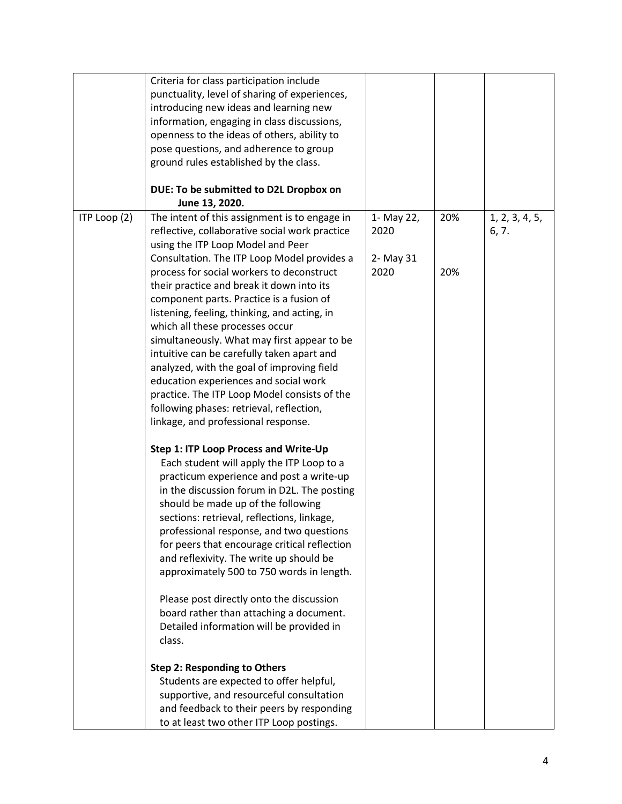|              | Criteria for class participation include       |            |     |                |
|--------------|------------------------------------------------|------------|-----|----------------|
|              | punctuality, level of sharing of experiences,  |            |     |                |
|              | introducing new ideas and learning new         |            |     |                |
|              | information, engaging in class discussions,    |            |     |                |
|              | openness to the ideas of others, ability to    |            |     |                |
|              | pose questions, and adherence to group         |            |     |                |
|              | ground rules established by the class.         |            |     |                |
|              |                                                |            |     |                |
|              | DUE: To be submitted to D2L Dropbox on         |            |     |                |
|              | June 13, 2020.                                 |            |     |                |
| ITP Loop (2) | The intent of this assignment is to engage in  | 1- May 22, | 20% | 1, 2, 3, 4, 5, |
|              | reflective, collaborative social work practice | 2020       |     | 6, 7.          |
|              | using the ITP Loop Model and Peer              |            |     |                |
|              | Consultation. The ITP Loop Model provides a    | 2- May 31  |     |                |
|              | process for social workers to deconstruct      | 2020       | 20% |                |
|              | their practice and break it down into its      |            |     |                |
|              | component parts. Practice is a fusion of       |            |     |                |
|              | listening, feeling, thinking, and acting, in   |            |     |                |
|              | which all these processes occur                |            |     |                |
|              | simultaneously. What may first appear to be    |            |     |                |
|              | intuitive can be carefully taken apart and     |            |     |                |
|              | analyzed, with the goal of improving field     |            |     |                |
|              | education experiences and social work          |            |     |                |
|              | practice. The ITP Loop Model consists of the   |            |     |                |
|              | following phases: retrieval, reflection,       |            |     |                |
|              | linkage, and professional response.            |            |     |                |
|              |                                                |            |     |                |
|              | Step 1: ITP Loop Process and Write-Up          |            |     |                |
|              | Each student will apply the ITP Loop to a      |            |     |                |
|              | practicum experience and post a write-up       |            |     |                |
|              | in the discussion forum in D2L. The posting    |            |     |                |
|              | should be made up of the following             |            |     |                |
|              | sections: retrieval, reflections, linkage,     |            |     |                |
|              | professional response, and two questions       |            |     |                |
|              | for peers that encourage critical reflection   |            |     |                |
|              | and reflexivity. The write up should be        |            |     |                |
|              | approximately 500 to 750 words in length.      |            |     |                |
|              | Please post directly onto the discussion       |            |     |                |
|              | board rather than attaching a document.        |            |     |                |
|              | Detailed information will be provided in       |            |     |                |
|              | class.                                         |            |     |                |
|              | <b>Step 2: Responding to Others</b>            |            |     |                |
|              | Students are expected to offer helpful,        |            |     |                |
|              | supportive, and resourceful consultation       |            |     |                |
|              | and feedback to their peers by responding      |            |     |                |
|              | to at least two other ITP Loop postings.       |            |     |                |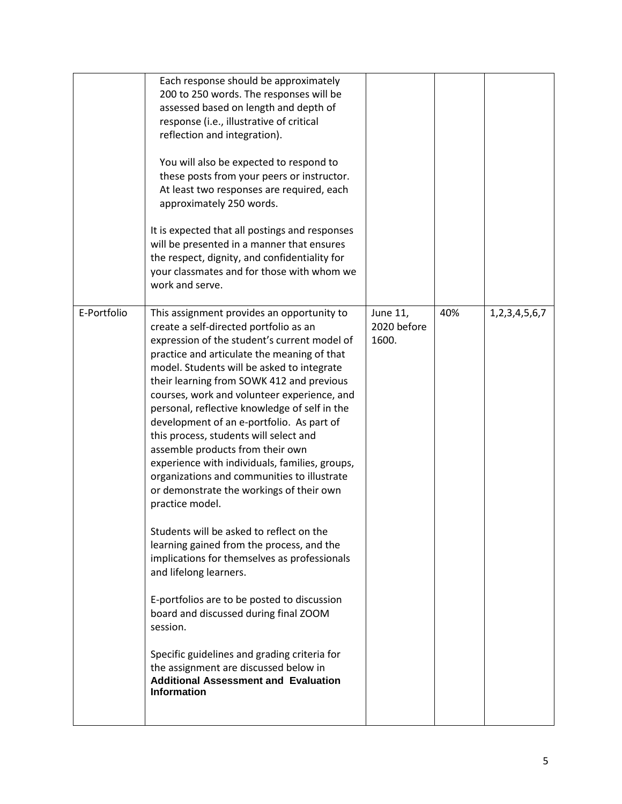|             | Each response should be approximately<br>200 to 250 words. The responses will be<br>assessed based on length and depth of<br>response (i.e., illustrative of critical<br>reflection and integration).<br>You will also be expected to respond to<br>these posts from your peers or instructor.<br>At least two responses are required, each<br>approximately 250 words.<br>It is expected that all postings and responses<br>will be presented in a manner that ensures<br>the respect, dignity, and confidentiality for<br>your classmates and for those with whom we<br>work and serve.                                                                                                                                                                                                                                                                                                                                                                                                                                                                                                                      |                                  |     |                     |
|-------------|----------------------------------------------------------------------------------------------------------------------------------------------------------------------------------------------------------------------------------------------------------------------------------------------------------------------------------------------------------------------------------------------------------------------------------------------------------------------------------------------------------------------------------------------------------------------------------------------------------------------------------------------------------------------------------------------------------------------------------------------------------------------------------------------------------------------------------------------------------------------------------------------------------------------------------------------------------------------------------------------------------------------------------------------------------------------------------------------------------------|----------------------------------|-----|---------------------|
| E-Portfolio | This assignment provides an opportunity to<br>create a self-directed portfolio as an<br>expression of the student's current model of<br>practice and articulate the meaning of that<br>model. Students will be asked to integrate<br>their learning from SOWK 412 and previous<br>courses, work and volunteer experience, and<br>personal, reflective knowledge of self in the<br>development of an e-portfolio. As part of<br>this process, students will select and<br>assemble products from their own<br>experience with individuals, families, groups,<br>organizations and communities to illustrate<br>or demonstrate the workings of their own<br>practice model.<br>Students will be asked to reflect on the<br>learning gained from the process, and the<br>implications for themselves as professionals<br>and lifelong learners.<br>E-portfolios are to be posted to discussion<br>board and discussed during final ZOOM<br>session.<br>Specific guidelines and grading criteria for<br>the assignment are discussed below in<br><b>Additional Assessment and Evaluation</b><br><b>Information</b> | June 11,<br>2020 before<br>1600. | 40% | 1, 2, 3, 4, 5, 6, 7 |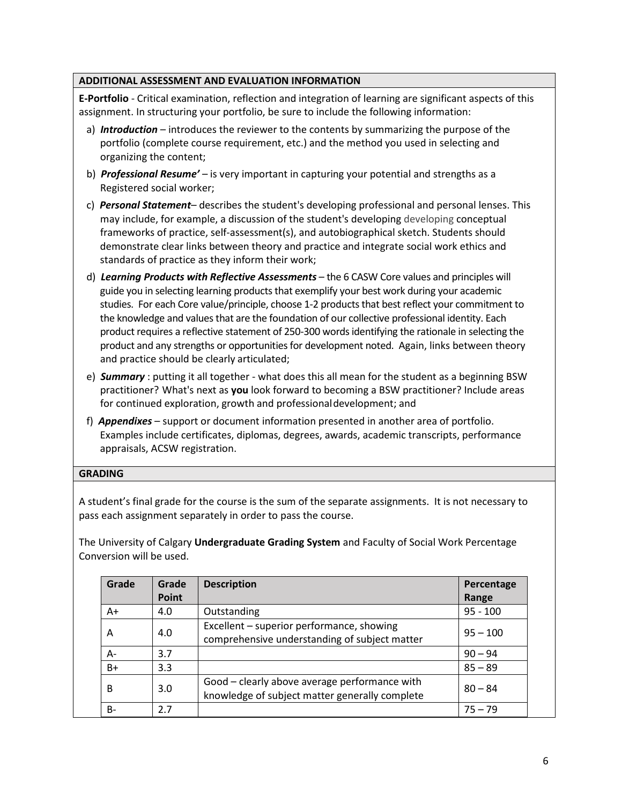## **ADDITIONAL ASSESSMENT AND EVALUATION INFORMATION**

**E-Portfolio** - Critical examination, reflection and integration of learning are significant aspects of this assignment. In structuring your portfolio, be sure to include the following information:

- a) *Introduction* introduces the reviewer to the contents by summarizing the purpose of the portfolio (complete course requirement, etc.) and the method you used in selecting and organizing the content;
- b) *Professional Resume'* is very important in capturing your potential and strengths as a Registered social worker;
- c) *Personal Statement* describes the student's developing professional and personal lenses. This may include, for example, a discussion of the student's developing developing conceptual frameworks of practice, self-assessment(s), and autobiographical sketch. Students should demonstrate clear links between theory and practice and integrate social work ethics and standards of practice as they inform their work;
- d) *Learning Products with Reflective Assessments* the 6 CASW Core values and principles will guide you in selecting learning products that exemplify your best work during your academic studies. For each Core value/principle, choose 1-2 products that best reflect your commitment to the knowledge and values that are the foundation of our collective professional identity. Each product requires a reflective statement of 250-300 words identifying the rationale in selecting the product and any strengths or opportunities for development noted. Again, links between theory and practice should be clearly articulated;
- e) *Summary* : putting it all together what does this all mean for the student as a beginning BSW practitioner? What's next as **you** look forward to becoming a BSW practitioner? Include areas for continued exploration, growth and professionaldevelopment; and
- f) *Appendixes* support or document information presented in another area of portfolio. Examples include certificates, diplomas, degrees, awards, academic transcripts, performance appraisals, ACSW registration.

### **GRADING**

A student's final grade for the course is the sum of the separate assignments. It is not necessary to pass each assignment separately in order to pass the course.

The University of Calgary **Undergraduate Grading System** and Faculty of Social Work Percentage Conversion will be used.

| Grade | Grade        | <b>Description</b>                                                                              | Percentage |
|-------|--------------|-------------------------------------------------------------------------------------------------|------------|
|       | <b>Point</b> |                                                                                                 | Range      |
| A+    | 4.0          | Outstanding                                                                                     | $95 - 100$ |
| Α     | 4.0          | Excellent - superior performance, showing<br>comprehensive understanding of subject matter      | $95 - 100$ |
| А-    | 3.7          |                                                                                                 | $90 - 94$  |
| B+    | 3.3          |                                                                                                 | $85 - 89$  |
| В     | 3.0          | Good - clearly above average performance with<br>knowledge of subject matter generally complete | $80 - 84$  |
| B-    | 2.7          |                                                                                                 | $75 - 79$  |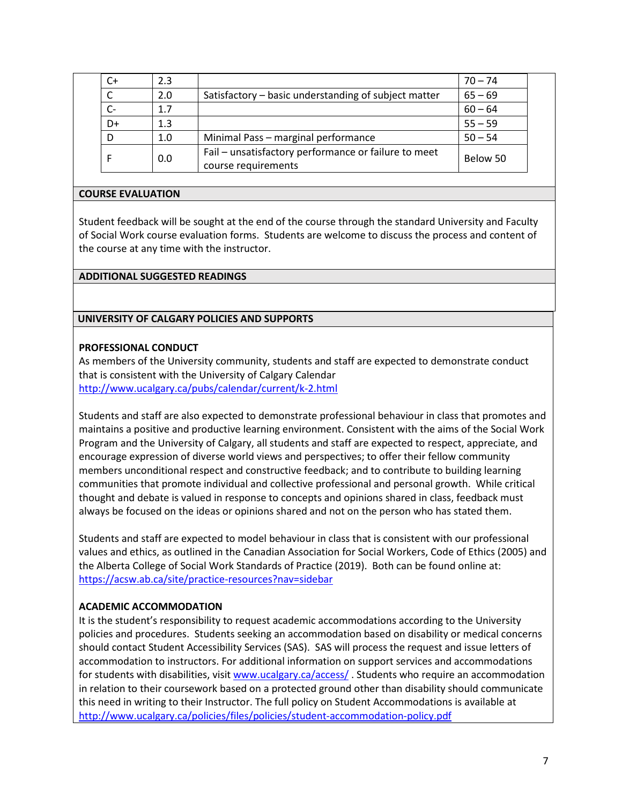| C+    | 2.3 |                                                                             | $70 - 74$ |
|-------|-----|-----------------------------------------------------------------------------|-----------|
|       | 2.0 | Satisfactory - basic understanding of subject matter                        | $65 - 69$ |
| $C -$ | 1.7 |                                                                             | $60 - 64$ |
| D+    | 1.3 |                                                                             | $55 - 59$ |
| D     | 1.0 | Minimal Pass - marginal performance                                         | $50 - 54$ |
|       | 0.0 | Fail - unsatisfactory performance or failure to meet<br>course requirements | Below 50  |

#### **COURSE EVALUATION**

Student feedback will be sought at the end of the course through the standard University and Faculty of Social Work course evaluation forms. Students are welcome to discuss the process and content of the course at any time with the instructor.

### **ADDITIONAL SUGGESTED READINGS**

### **UNIVERSITY OF CALGARY POLICIES AND SUPPORTS**

### **PROFESSIONAL CONDUCT**

As members of the University community, students and staff are expected to demonstrate conduct that is consistent with the University of Calgary Calendar <http://www.ucalgary.ca/pubs/calendar/current/k-2.html>

Students and staff are also expected to demonstrate professional behaviour in class that promotes and maintains a positive and productive learning environment. Consistent with the aims of the Social Work Program and the University of Calgary, all students and staff are expected to respect, appreciate, and encourage expression of diverse world views and perspectives; to offer their fellow community members unconditional respect and constructive feedback; and to contribute to building learning communities that promote individual and collective professional and personal growth. While critical thought and debate is valued in response to concepts and opinions shared in class, feedback must always be focused on the ideas or opinions shared and not on the person who has stated them.

Students and staff are expected to model behaviour in class that is consistent with our professional values and ethics, as outlined in the Canadian Association for Social Workers, Code of Ethics (2005) and the Alberta College of Social Work Standards of Practice (2019). Both can be found online at: <https://acsw.ab.ca/site/practice-resources?nav=sidebar>

### **ACADEMIC ACCOMMODATION**

It is the student's responsibility to request academic accommodations according to the University policies and procedures. Students seeking an accommodation based on disability or medical concerns should contact Student Accessibility Services (SAS). SAS will process the request and issue letters of accommodation to instructors. For additional information on support services and accommodations for students with disabilities, visi[t www.ucalgary.ca/access/](http://www.ucalgary.ca/access/). Students who require an accommodation in relation to their coursework based on a protected ground other than disability should communicate this need in writing to their Instructor. The full policy on Student Accommodations is available at <http://www.ucalgary.ca/policies/files/policies/student-accommodation-policy.pdf>